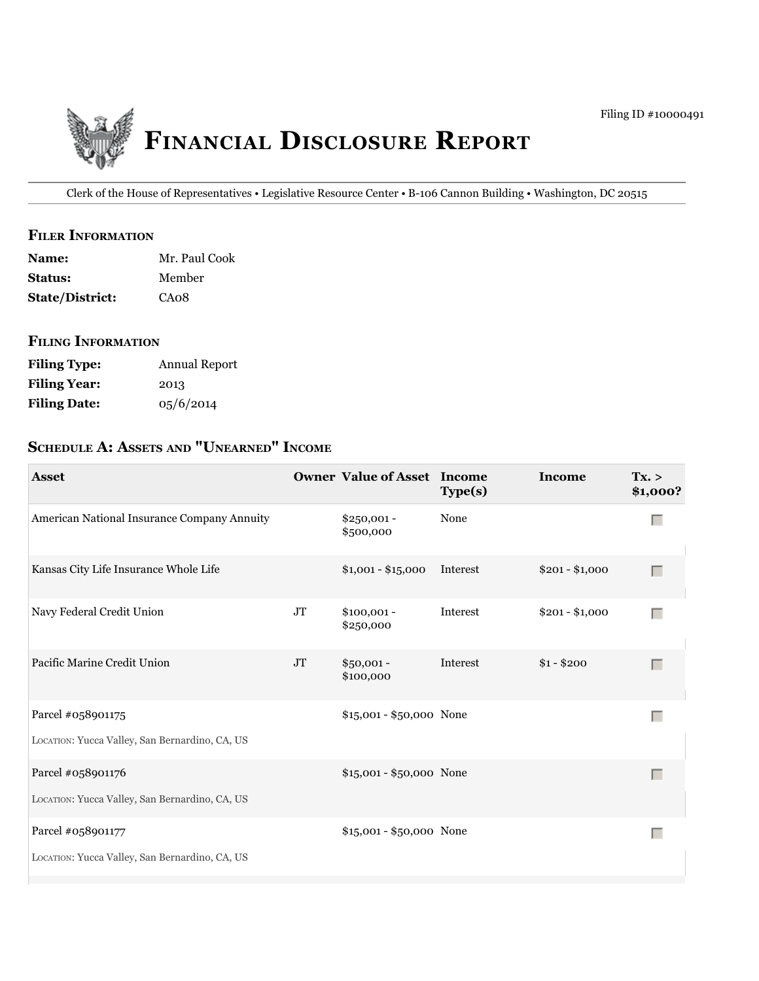

Clerk of the House of Representatives • Legislative Resource Center • B-106 Cannon Building • Washington, DC 20515

## **filer information**

| <b>Name:</b>           | Mr. Paul Cook |
|------------------------|---------------|
| <b>Status:</b>         | Member        |
| <b>State/District:</b> | CA08          |

#### **filing information**

| <b>Filing Type:</b> | Annual Report |
|---------------------|---------------|
| <b>Filing Year:</b> | 2013          |
| <b>Filing Date:</b> | 05/6/2014     |

# **ScheDule a: aSSetS anD "unearneD" income**

| <b>Asset</b>                                                        |          | <b>Owner Value of Asset Income</b> | Type(s)  | <b>Income</b>   | Tx. ><br>\$1,000? |
|---------------------------------------------------------------------|----------|------------------------------------|----------|-----------------|-------------------|
| American National Insurance Company Annuity                         |          | \$250,001 -<br>\$500,000           | None     |                 | $\Box$            |
| Kansas City Life Insurance Whole Life                               |          | $$1,001 - $15,000$                 | Interest | $$201 - $1,000$ | Г                 |
| Navy Federal Credit Union                                           | $\rm JT$ | $$100,001 -$<br>\$250,000          | Interest | $$201 - $1,000$ | Г                 |
| Pacific Marine Credit Union                                         | $\rm JT$ | $$50,001 -$<br>\$100,000           | Interest | $$1 - $200$     | $\Box$            |
| Parcel #058901175<br>LOCATION: Yucca Valley, San Bernardino, CA, US |          | $$15,001 - $50,000$ None           |          |                 | $\Box$            |
| Parcel #058901176<br>LOCATION: Yucca Valley, San Bernardino, CA, US |          | \$15,001 - \$50,000 None           |          |                 | Г                 |
| Parcel #058901177<br>LOCATION: Yucca Valley, San Bernardino, CA, US |          | \$15,001 - \$50,000 None           |          |                 | $\Box$            |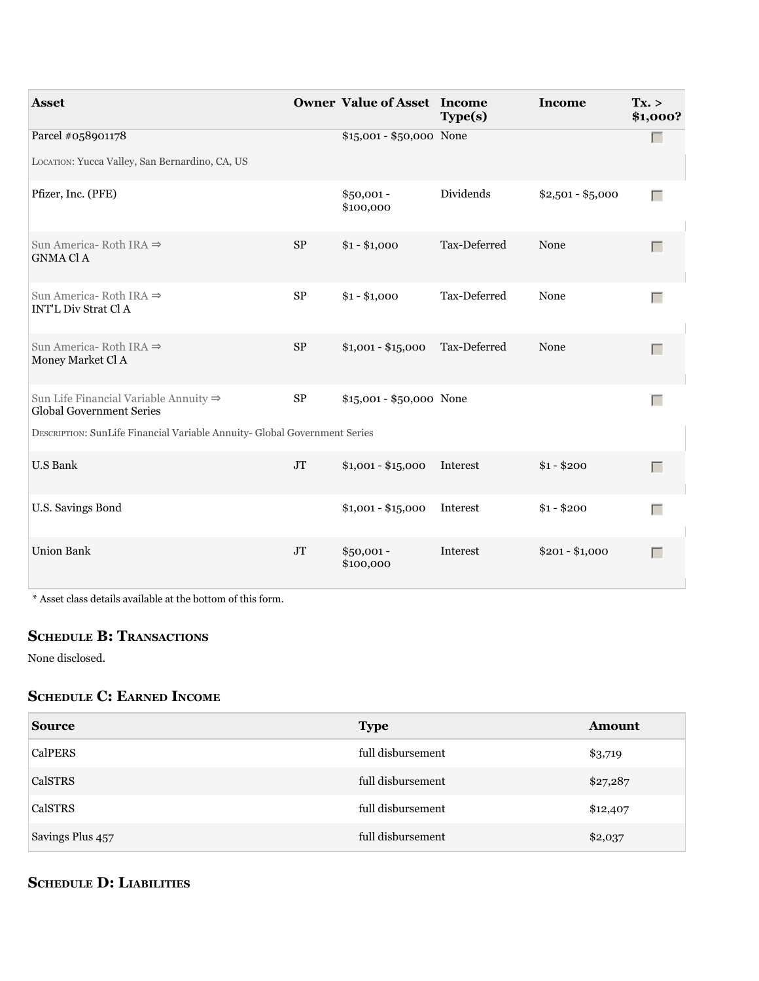| <b>Asset</b>                                                                         |            | <b>Owner Value of Asset Income</b> | Type(s)      | Income            | Tx. ><br>\$1,000? |
|--------------------------------------------------------------------------------------|------------|------------------------------------|--------------|-------------------|-------------------|
| Parcel #058901178                                                                    |            | $$15,001 - $50,000$ None           |              |                   | $\Box$            |
| LOCATION: Yucca Valley, San Bernardino, CA, US                                       |            |                                    |              |                   |                   |
| Pfizer, Inc. (PFE)                                                                   |            | $$50,001 -$<br>\$100,000           | Dividends    | $$2,501 - $5,000$ | Г                 |
| Sun America - Roth IRA $\Rightarrow$<br><b>GNMA Cl A</b>                             | $\rm SP$   | $$1 - $1,000$                      | Tax-Deferred | None              | $\Box$            |
| Sun America-Roth IRA $\Rightarrow$<br><b>INT'L Div Strat Cl A</b>                    | $\rm SP$   | $$1 - $1,000$                      | Tax-Deferred | None              | $\Box$            |
| Sun America-Roth IRA $\Rightarrow$<br>Money Market Cl A                              | ${\rm SP}$ | $$1,001 - $15,000$                 | Tax-Deferred | None              | $\Box$            |
| Sun Life Financial Variable Annuity $\Rightarrow$<br><b>Global Government Series</b> | $\rm SP$   | $$15,001 - $50,000$ None           |              |                   | $\Box$            |
| DESCRIPTION: SunLife Financial Variable Annuity- Global Government Series            |            |                                    |              |                   |                   |
| <b>U.S Bank</b>                                                                      | $\rm JT$   | $$1,001 - $15,000$                 | Interest     | $$1 - $200$       | $\Box$            |
| U.S. Savings Bond                                                                    |            | $$1,001 - $15,000$                 | Interest     | $$1 - $200$       | $\Box$            |
| <b>Union Bank</b>                                                                    | $\rm JT$   | $$50,001 -$<br>\$100,000           | Interest     | $$201 - $1,000$   | Г                 |

\* Asset class details available at the bottom of this form.

## **ScheDule B: tranSactionS**

None disclosed.

## **ScheDule c: earneD income**

| <b>Source</b>    | <b>Type</b>       | Amount   |
|------------------|-------------------|----------|
| <b>CalPERS</b>   | full disbursement | \$3,719  |
| CalSTRS          | full disbursement | \$27,287 |
| CalSTRS          | full disbursement | \$12,407 |
| Savings Plus 457 | full disbursement | \$2,037  |

## **ScheDule D: liaBilitieS**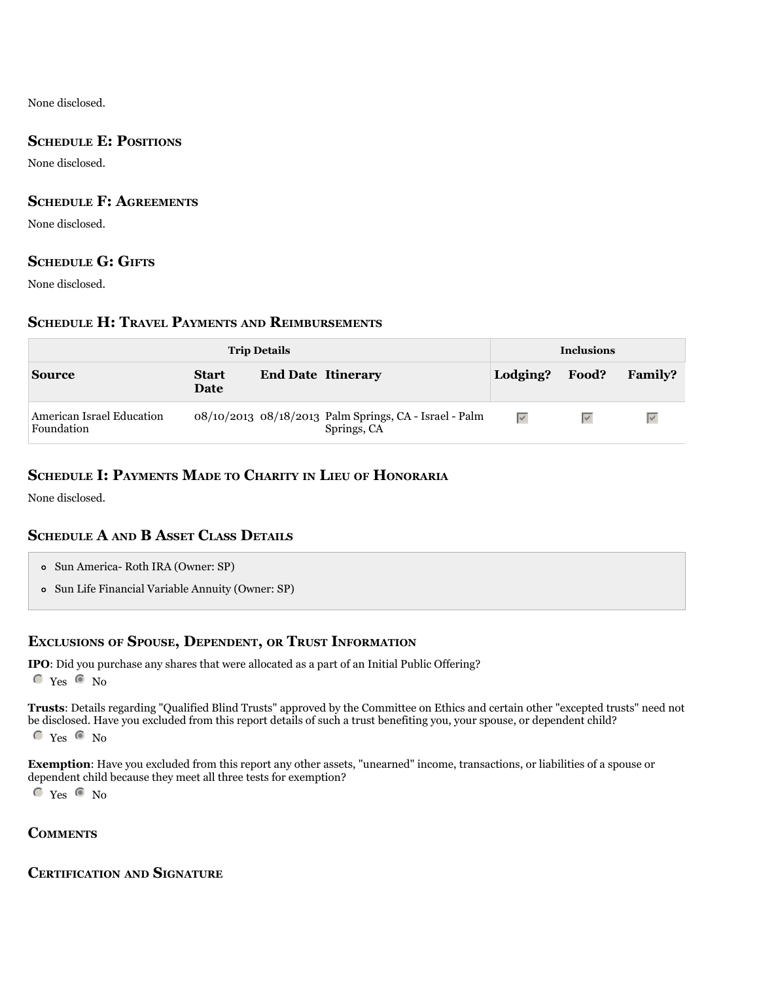None disclosed.

## **SCHEDULE E: POSITIONS**

None disclosed.

## **ScheDule f: agreementS**

None disclosed.

## **ScheDule g: giftS**

None disclosed.

## **ScheDule h: travel PaymentS anD reimBurSementS**

|                                         |                      | <b>Trip Details</b>       |                                                                       | <b>Inclusions</b> |       |                   |  |
|-----------------------------------------|----------------------|---------------------------|-----------------------------------------------------------------------|-------------------|-------|-------------------|--|
| <b>Source</b>                           | <b>Start</b><br>Date | <b>End Date Itinerary</b> |                                                                       | Lodging?          | Food? | <b>Family?</b>    |  |
| American Israel Education<br>Foundation |                      |                           | 08/10/2013 08/18/2013 Palm Springs, CA - Israel - Palm<br>Springs, CA | $\overline{\vee}$ |       | $\overline{\vee}$ |  |

## **ScheDule i: PaymentS maDe to charity in lieu of honoraria**

None disclosed.

## **ScheDule a anD B aSSet claSS DetailS**

| • Sun America- Roth IRA (Owner: SP) |  |
|-------------------------------------|--|
|-------------------------------------|--|

Sun Life Financial Variable Annuity (Owner: SP)

## **excluSionS of SPouSe, DePenDent, or truSt information**

**iPo**: Did you purchase any shares that were allocated as a part of an Initial Public Offering?  $C$  Yes  $C$  No

**trusts**: Details regarding "Qualified Blind Trusts" approved by the Committee on Ethics and certain other "excepted trusts" need not be disclosed. Have you excluded from this report details of such a trust benefiting you, your spouse, or dependent child?

 $\degree$  Yes  $\degree$  No

**Exemption**: Have you excluded from this report any other assets, "unearned" income, transactions, or liabilities of a spouse or dependent child because they meet all three tests for exemption?

 $C$  Yes  $C$  No

#### **commentS**

#### **certification anD Signature**